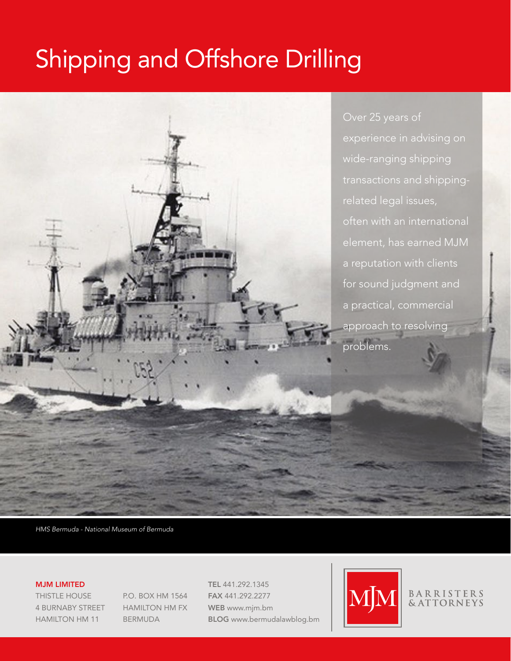# Shipping and Offshore Drilling



*HMS Bermuda - National Museum of Bermuda*

#### MJM LIMITED

THISTLE HOUSE 4 BURNABY STREET HAMILTON HM 11

P.O. BOX HM 1564 HAMILTON HM FX BERMUDA

TEL 441.292.1345 FAX 441.292.2277 WEB [www.mjm.bm](http://www.mjm.bm) BLOG <www.bermudalawblog.bm>



## BARRISTERS<br>& ATTORNEYS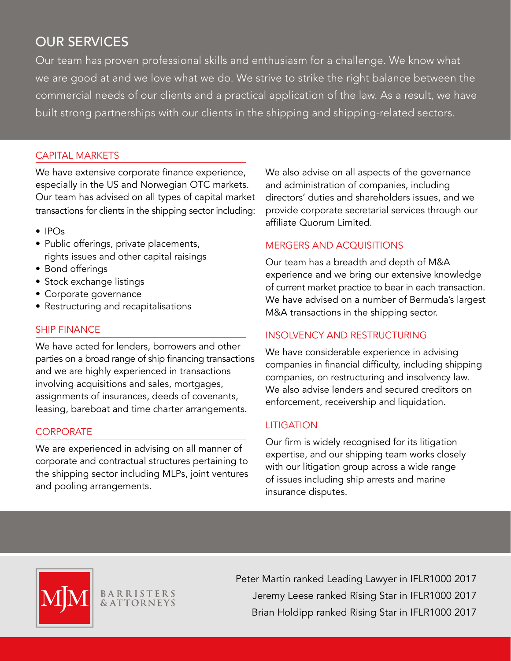## OUR SERVICES

Our team has proven professional skills and enthusiasm for a challenge. We know what we are good at and we love what we do. We strive to strike the right balance between the commercial needs of our clients and a practical application of the law. As a result, we have built strong partnerships with our clients in the shipping and shipping-related sectors.

#### CAPITAL MARKETS

We have extensive corporate finance experience, especially in the US and Norwegian OTC markets. Our team has advised on all types of capital market transactions for clients in the shipping sector including:

- IPOs
- Public offerings, private placements, rights issues and other capital raisings
- Bond offerings
- Stock exchange listings
- Corporate governance
- Restructuring and recapitalisations

#### SHIP FINANCE

We have acted for lenders, borrowers and other parties on a broad range of ship financing transactions and we are highly experienced in transactions involving acquisitions and sales, mortgages, assignments of insurances, deeds of covenants, leasing, bareboat and time charter arrangements.

#### **CORPORATE**

We are experienced in advising on all manner of corporate and contractual structures pertaining to the shipping sector including MLPs, joint ventures and pooling arrangements.

We also advise on all aspects of the governance and administration of companies, including directors' duties and shareholders issues, and we provide corporate secretarial services through our affiliate Quorum Limited.

#### MERGERS AND ACQUISITIONS

Our team has a breadth and depth of M&A experience and we bring our extensive knowledge of current market practice to bear in each transaction. We have advised on a number of Bermuda's largest M&A transactions in the shipping sector.

#### INSOLVENCY AND RESTRUCTURING

We have considerable experience in advising companies in financial difficulty, including shipping companies, on restructuring and insolvency law. We also advise lenders and secured creditors on enforcement, receivership and liquidation.

#### LITIGATION

Our firm is widely recognised for its litigation expertise, and our shipping team works closely with our litigation group across a wide range of issues including ship arrests and marine insurance disputes.



**BARRISTERS**<br>**&ATTORNEYS** 

Peter Martin ranked Leading Lawyer in IFLR1000 2017 Jeremy Leese ranked Rising Star in IFLR1000 2017 Brian Holdipp ranked Rising Star in IFLR1000 2017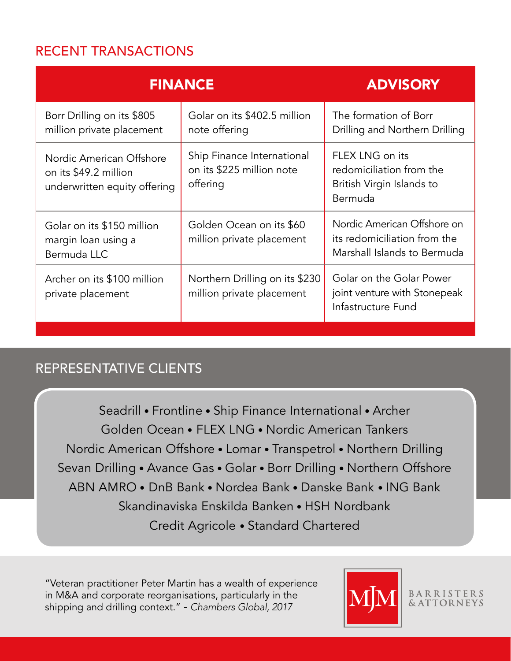## RECENT TRANSACTIONS

| <b>FINANCE</b>                                                                    |                                                                     | <b>ADVISORY</b>                                                                            |
|-----------------------------------------------------------------------------------|---------------------------------------------------------------------|--------------------------------------------------------------------------------------------|
| Borr Drilling on its \$805<br>million private placement                           | Golar on its \$402.5 million<br>note offering                       | The formation of Borr<br>Drilling and Northern Drilling                                    |
| Nordic American Offshore<br>on its \$49.2 million<br>underwritten equity offering | Ship Finance International<br>on its \$225 million note<br>offering | FLEX LNG on its<br>redomiciliation from the<br>British Virgin Islands to<br>Bermuda        |
| Golar on its \$150 million<br>margin loan using a<br>Bermuda LLC                  | Golden Ocean on its \$60<br>million private placement               | Nordic American Offshore on<br>its redomiciliation from the<br>Marshall Islands to Bermuda |
| Archer on its \$100 million<br>private placement                                  | Northern Drilling on its \$230<br>million private placement         | Golar on the Golar Power<br>joint venture with Stonepeak<br>Infastructure Fund             |

## REPRESENTATIVE CLIENTS

Seadrill • Frontline • Ship Finance International • Archer Golden Ocean • FLEX LNG • Nordic American Tankers Nordic American Offshore • Lomar • Transpetrol • Northern Drilling Sevan Drilling • Avance Gas • Golar • Borr Drilling • Northern Offshore ABN AMRO • DnB Bank • Nordea Bank • Danske Bank • ING Bank Skandinaviska Enskilda Banken • HSH Nordbank Credit Agricole • Standard Chartered

"Veteran practitioner Peter Martin has a wealth of experience in M&A and corporate reorganisations, particularly in the shipping and drilling context." - *Chambers Global, 2017*



BARRISTERS<br>& ATTORNEYS